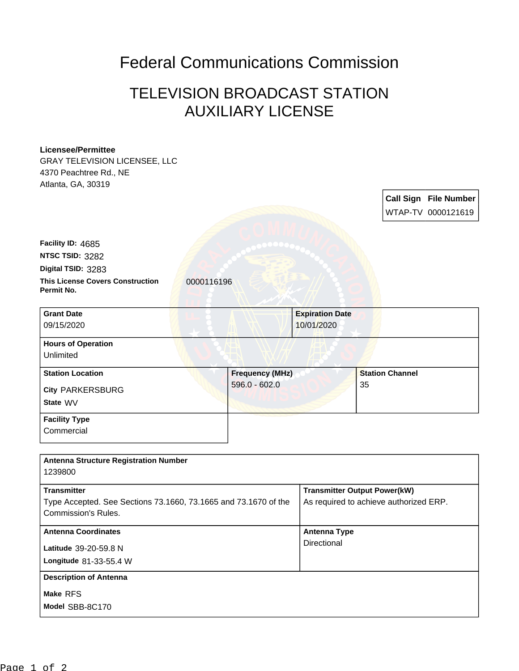## Federal Communications Commission

## TELEVISION BROADCAST STATION AUXILIARY LICENSE

## **Licensee/Permittee**

GRAY TELEVISION LICENSEE, LLC 4370 Peachtree Rd., NE Atlanta, GA, 30319

> **Call Sign File Number** WTAP-TV 0000121619

**This License Covers Construction 10000116196 Permit No. Digital TSID:** 3283 **NTSC TSID:** 3282 **Facility ID:** 4685

| <b>Grant Date</b>         | <b>Expiration Date</b> |                        |
|---------------------------|------------------------|------------------------|
| 09/15/2020                | 10/01/2020             |                        |
| <b>Hours of Operation</b> |                        |                        |
| Unlimited                 |                        |                        |
| <b>Station Location</b>   | <b>Frequency (MHz)</b> | <b>Station Channel</b> |
| <b>City PARKERSBURG</b>   | $596.0 - 602.0$        | 35                     |
| State WV                  |                        |                        |
| <b>Facility Type</b>      |                        |                        |

**Commercial** 

| <b>Antenna Structure Registration Number</b><br>1239800                                                      |                                                                               |
|--------------------------------------------------------------------------------------------------------------|-------------------------------------------------------------------------------|
| <b>Transmitter</b><br>Type Accepted. See Sections 73.1660, 73.1665 and 73.1670 of the<br>Commission's Rules. | <b>Transmitter Output Power(kW)</b><br>As required to achieve authorized ERP. |
| <b>Antenna Coordinates</b><br>Latitude 39-20-59.8 N<br>Longitude 81-33-55.4 W                                | <b>Antenna Type</b><br>Directional                                            |
| <b>Description of Antenna</b><br>Make RFS<br>Model SBB-8C170                                                 |                                                                               |